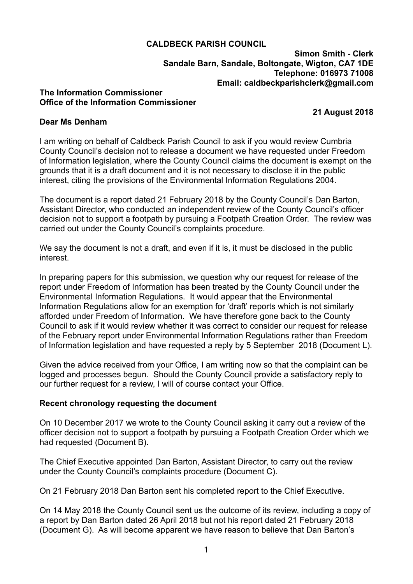## **CALDBECK PARISH COUNCIL**

**Simon Smith - Clerk Sandale Barn, Sandale, Boltongate, Wigton, CA7 1DE Telephone: 016973 71008 Email: [caldbeckparishclerk@gmail.com](mailto:caldbeckparishclerk@gmail.com)** 

#### **The Information Commissioner Office of the Information Commissioner**

 **21 August 2018**

### **Dear Ms Denham**

I am writing on behalf of Caldbeck Parish Council to ask if you would review Cumbria County Council's decision not to release a document we have requested under Freedom of Information legislation, where the County Council claims the document is exempt on the grounds that it is a draft document and it is not necessary to disclose it in the public interest, citing the provisions of the Environmental Information Regulations 2004.

The document is a report dated 21 February 2018 by the County Council's Dan Barton, Assistant Director, who conducted an independent review of the County Council's officer decision not to support a footpath by pursuing a Footpath Creation Order. The review was carried out under the County Council's complaints procedure.

We say the document is not a draft, and even if it is, it must be disclosed in the public interest.

In preparing papers for this submission, we question why our request for release of the report under Freedom of Information has been treated by the County Council under the Environmental Information Regulations. It would appear that the Environmental Information Regulations allow for an exemption for 'draft' reports which is not similarly afforded under Freedom of Information. We have therefore gone back to the County Council to ask if it would review whether it was correct to consider our request for release of the February report under Environmental Information Regulations rather than Freedom of Information legislation and have requested a reply by 5 September 2018 (Document L).

Given the advice received from your Office, I am writing now so that the complaint can be logged and processes begun. Should the County Council provide a satisfactory reply to our further request for a review, I will of course contact your Office.

# **Recent chronology requesting the document**

On 10 December 2017 we wrote to the County Council asking it carry out a review of the officer decision not to support a footpath by pursuing a Footpath Creation Order which we had requested (Document B).

The Chief Executive appointed Dan Barton, Assistant Director, to carry out the review under the County Council's complaints procedure (Document C).

On 21 February 2018 Dan Barton sent his completed report to the Chief Executive.

On 14 May 2018 the County Council sent us the outcome of its review, including a copy of a report by Dan Barton dated 26 April 2018 but not his report dated 21 February 2018 (Document G). As will become apparent we have reason to believe that Dan Barton's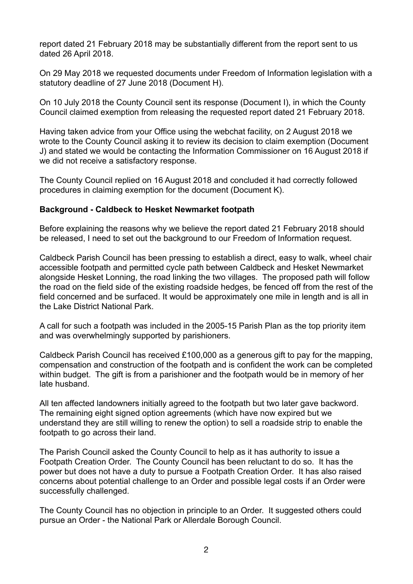report dated 21 February 2018 may be substantially different from the report sent to us dated 26 April 2018.

On 29 May 2018 we requested documents under Freedom of Information legislation with a statutory deadline of 27 June 2018 (Document H).

On 10 July 2018 the County Council sent its response (Document I), in which the County Council claimed exemption from releasing the requested report dated 21 February 2018.

Having taken advice from your Office using the webchat facility, on 2 August 2018 we wrote to the County Council asking it to review its decision to claim exemption (Document J) and stated we would be contacting the Information Commissioner on 16 August 2018 if we did not receive a satisfactory response.

The County Council replied on 16 August 2018 and concluded it had correctly followed procedures in claiming exemption for the document (Document K).

## **Background - Caldbeck to Hesket Newmarket footpath**

Before explaining the reasons why we believe the report dated 21 February 2018 should be released, I need to set out the background to our Freedom of Information request.

Caldbeck Parish Council has been pressing to establish a direct, easy to walk, wheel chair accessible footpath and permitted cycle path between Caldbeck and Hesket Newmarket alongside Hesket Lonning, the road linking the two villages. The proposed path will follow the road on the field side of the existing roadside hedges, be fenced off from the rest of the field concerned and be surfaced. It would be approximately one mile in length and is all in the Lake District National Park.

A call for such a footpath was included in the 2005-15 Parish Plan as the top priority item and was overwhelmingly supported by parishioners.

Caldbeck Parish Council has received £100,000 as a generous gift to pay for the mapping, compensation and construction of the footpath and is confident the work can be completed within budget. The gift is from a parishioner and the footpath would be in memory of her late husband.

All ten affected landowners initially agreed to the footpath but two later gave backword. The remaining eight signed option agreements (which have now expired but we understand they are still willing to renew the option) to sell a roadside strip to enable the footpath to go across their land.

The Parish Council asked the County Council to help as it has authority to issue a Footpath Creation Order. The County Council has been reluctant to do so. It has the power but does not have a duty to pursue a Footpath Creation Order. It has also raised concerns about potential challenge to an Order and possible legal costs if an Order were successfully challenged.

The County Council has no objection in principle to an Order. It suggested others could pursue an Order - the National Park or Allerdale Borough Council.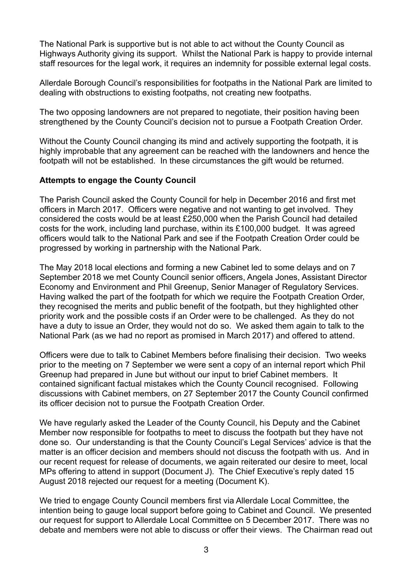The National Park is supportive but is not able to act without the County Council as Highways Authority giving its support. Whilst the National Park is happy to provide internal staff resources for the legal work, it requires an indemnity for possible external legal costs.

Allerdale Borough Council's responsibilities for footpaths in the National Park are limited to dealing with obstructions to existing footpaths, not creating new footpaths.

The two opposing landowners are not prepared to negotiate, their position having been strengthened by the County Council's decision not to pursue a Footpath Creation Order.

Without the County Council changing its mind and actively supporting the footpath, it is highly improbable that any agreement can be reached with the landowners and hence the footpath will not be established. In these circumstances the gift would be returned.

# **Attempts to engage the County Council**

The Parish Council asked the County Council for help in December 2016 and first met officers in March 2017. Officers were negative and not wanting to get involved. They considered the costs would be at least £250,000 when the Parish Council had detailed costs for the work, including land purchase, within its £100,000 budget. It was agreed officers would talk to the National Park and see if the Footpath Creation Order could be progressed by working in partnership with the National Park.

The May 2018 local elections and forming a new Cabinet led to some delays and on 7 September 2018 we met County Council senior officers, Angela Jones, Assistant Director Economy and Environment and Phil Greenup, Senior Manager of Regulatory Services. Having walked the part of the footpath for which we require the Footpath Creation Order, they recognised the merits and public benefit of the footpath, but they highlighted other priority work and the possible costs if an Order were to be challenged. As they do not have a duty to issue an Order, they would not do so. We asked them again to talk to the National Park (as we had no report as promised in March 2017) and offered to attend.

Officers were due to talk to Cabinet Members before finalising their decision. Two weeks prior to the meeting on 7 September we were sent a copy of an internal report which Phil Greenup had prepared in June but without our input to brief Cabinet members. It contained significant factual mistakes which the County Council recognised. Following discussions with Cabinet members, on 27 September 2017 the County Council confirmed its officer decision not to pursue the Footpath Creation Order.

We have regularly asked the Leader of the County Council, his Deputy and the Cabinet Member now responsible for footpaths to meet to discuss the footpath but they have not done so. Our understanding is that the County Council's Legal Services' advice is that the matter is an officer decision and members should not discuss the footpath with us. And in our recent request for release of documents, we again reiterated our desire to meet, local MPs offering to attend in support (Document J). The Chief Executive's reply dated 15 August 2018 rejected our request for a meeting (Document K).

We tried to engage County Council members first via Allerdale Local Committee, the intention being to gauge local support before going to Cabinet and Council. We presented our request for support to Allerdale Local Committee on 5 December 2017. There was no debate and members were not able to discuss or offer their views. The Chairman read out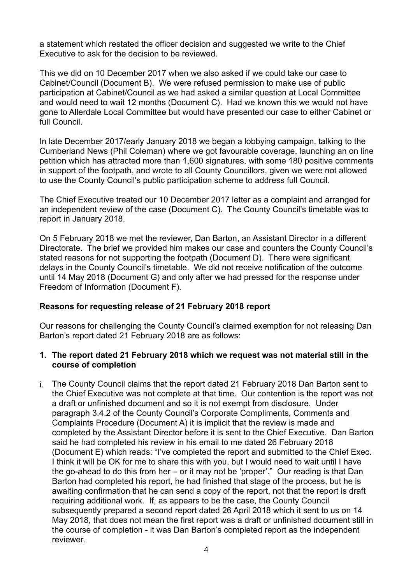a statement which restated the officer decision and suggested we write to the Chief Executive to ask for the decision to be reviewed.

This we did on 10 December 2017 when we also asked if we could take our case to Cabinet/Council (Document B). We were refused permission to make use of public participation at Cabinet/Council as we had asked a similar question at Local Committee and would need to wait 12 months (Document C). Had we known this we would not have gone to Allerdale Local Committee but would have presented our case to either Cabinet or full Council.

In late December 2017/early January 2018 we began a lobbying campaign, talking to the Cumberland News (Phil Coleman) where we got favourable coverage, launching an on line petition which has attracted more than 1,600 signatures, with some 180 positive comments in support of the footpath, and wrote to all County Councillors, given we were not allowed to use the County Council's public participation scheme to address full Council.

The Chief Executive treated our 10 December 2017 letter as a complaint and arranged for an independent review of the case (Document C). The County Council's timetable was to report in January 2018.

On 5 February 2018 we met the reviewer, Dan Barton, an Assistant Director in a different Directorate. The brief we provided him makes our case and counters the County Council's stated reasons for not supporting the footpath (Document D). There were significant delays in the County Council's timetable. We did not receive notification of the outcome until 14 May 2018 (Document G) and only after we had pressed for the response under Freedom of Information (Document F).

# **Reasons for requesting release of 21 February 2018 report**

Our reasons for challenging the County Council's claimed exemption for not releasing Dan Barton's report dated 21 February 2018 are as follows:

## **1. The report dated 21 February 2018 which we request was not material still in the course of completion**

i. The County Council claims that the report dated 21 February 2018 Dan Barton sent to the Chief Executive was not complete at that time. Our contention is the report was not a draft or unfinished document and so it is not exempt from disclosure. Under paragraph 3.4.2 of the County Council's Corporate Compliments, Comments and Complaints Procedure (Document A) it is implicit that the review is made and completed by the Assistant Director before it is sent to the Chief Executive. Dan Barton said he had completed his review in his email to me dated 26 February 2018 (Document E) which reads: "I've completed the report and submitted to the Chief Exec. I think it will be OK for me to share this with you, but I would need to wait until I have the go-ahead to do this from her – or it may not be 'proper'." Our reading is that Dan Barton had completed his report, he had finished that stage of the process, but he is awaiting confirmation that he can send a copy of the report, not that the report is draft requiring additional work. If, as appears to be the case, the County Council subsequently prepared a second report dated 26 April 2018 which it sent to us on 14 May 2018, that does not mean the first report was a draft or unfinished document still in the course of completion - it was Dan Barton's completed report as the independent reviewer.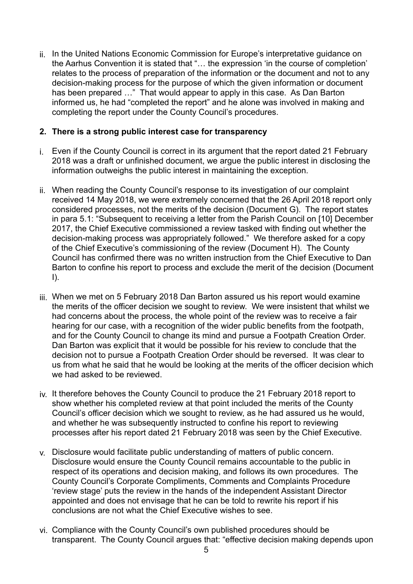ii. In the United Nations Economic Commission for Europe's interpretative guidance on the Aarhus Convention it is stated that "… the expression 'in the course of completion' relates to the process of preparation of the information or the document and not to any decision-making process for the purpose of which the given information or document has been prepared …" That would appear to apply in this case. As Dan Barton informed us, he had "completed the report" and he alone was involved in making and completing the report under the County Council's procedures.

## **2. There is a strong public interest case for transparency**

- i. Even if the County Council is correct in its argument that the report dated 21 February 2018 was a draft or unfinished document, we argue the public interest in disclosing the information outweighs the public interest in maintaining the exception.
- ii. When reading the County Council's response to its investigation of our complaint received 14 May 2018, we were extremely concerned that the 26 April 2018 report only considered processes, not the merits of the decision (Document G). The report states in para 5.1: "Subsequent to receiving a letter from the Parish Council on [10] December 2017, the Chief Executive commissioned a review tasked with finding out whether the decision-making process was appropriately followed." We therefore asked for a copy of the Chief Executive's commissioning of the review (Document H). The County Council has confirmed there was no written instruction from the Chief Executive to Dan Barton to confine his report to process and exclude the merit of the decision (Document  $\mathsf{I}$
- iii. When we met on 5 February 2018 Dan Barton assured us his report would examine the merits of the officer decision we sought to review. We were insistent that whilst we had concerns about the process, the whole point of the review was to receive a fair hearing for our case, with a recognition of the wider public benefits from the footpath, and for the County Council to change its mind and pursue a Footpath Creation Order. Dan Barton was explicit that it would be possible for his review to conclude that the decision not to pursue a Footpath Creation Order should be reversed. It was clear to us from what he said that he would be looking at the merits of the officer decision which we had asked to be reviewed.
- iv. It therefore behoves the County Council to produce the 21 February 2018 report to show whether his completed review at that point included the merits of the County Council's officer decision which we sought to review, as he had assured us he would, and whether he was subsequently instructed to confine his report to reviewing processes after his report dated 21 February 2018 was seen by the Chief Executive.
- v. Disclosure would facilitate public understanding of matters of public concern. Disclosure would ensure the County Council remains accountable to the public in respect of its operations and decision making, and follows its own procedures. The County Council's Corporate Compliments, Comments and Complaints Procedure 'review stage' puts the review in the hands of the independent Assistant Director appointed and does not envisage that he can be told to rewrite his report if his conclusions are not what the Chief Executive wishes to see.
- vi. Compliance with the County Council's own published procedures should be transparent. The County Council argues that: "effective decision making depends upon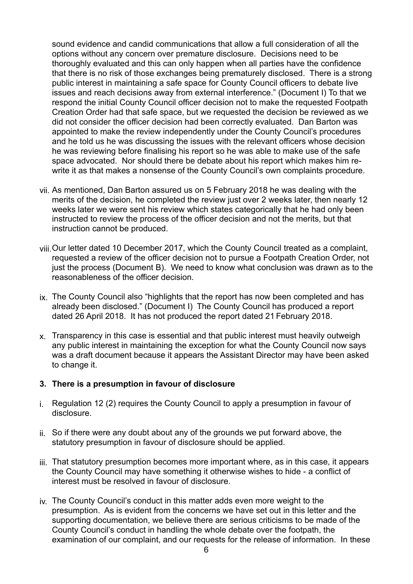sound evidence and candid communications that allow a full consideration of all the options without any concern over premature disclosure. Decisions need to be thoroughly evaluated and this can only happen when all parties have the confidence that there is no risk of those exchanges being prematurely disclosed. There is a strong public interest in maintaining a safe space for County Council officers to debate live issues and reach decisions away from external interference." (Document I) To that we respond the initial County Council officer decision not to make the requested Footpath Creation Order had that safe space, but we requested the decision be reviewed as we did not consider the officer decision had been correctly evaluated. Dan Barton was appointed to make the review independently under the County Council's procedures and he told us he was discussing the issues with the relevant officers whose decision he was reviewing before finalising his report so he was able to make use of the safe space advocated. Nor should there be debate about his report which makes him rewrite it as that makes a nonsense of the County Council's own complaints procedure.

- vii. As mentioned, Dan Barton assured us on 5 February 2018 he was dealing with the merits of the decision, he completed the review just over 2 weeks later, then nearly 12 weeks later we were sent his review which states categorically that he had only been instructed to review the process of the officer decision and not the merits, but that instruction cannot be produced.
- viii.Our letter dated 10 December 2017, which the County Council treated as a complaint, requested a review of the officer decision not to pursue a Footpath Creation Order, not just the process (Document B). We need to know what conclusion was drawn as to the reasonableness of the officer decision.
- ix. The County Council also "highlights that the report has now been completed and has already been disclosed." (Document I) The County Council has produced a report dated 26 April 2018. It has not produced the report dated 21 February 2018.
- x. Transparency in this case is essential and that public interest must heavily outweigh any public interest in maintaining the exception for what the County Council now says was a draft document because it appears the Assistant Director may have been asked to change it.

#### **3. There is a presumption in favour of disclosure**

- i. Regulation 12 (2) requires the County Council to apply a presumption in favour of disclosure.
- ii. So if there were any doubt about any of the grounds we put forward above, the statutory presumption in favour of disclosure should be applied.
- iii. That statutory presumption becomes more important where, as in this case, it appears the County Council may have something it otherwise wishes to hide - a conflict of interest must be resolved in favour of disclosure.
- iv. The County Council's conduct in this matter adds even more weight to the presumption. As is evident from the concerns we have set out in this letter and the supporting documentation, we believe there are serious criticisms to be made of the County Council's conduct in handling the whole debate over the footpath, the examination of our complaint, and our requests for the release of information. In these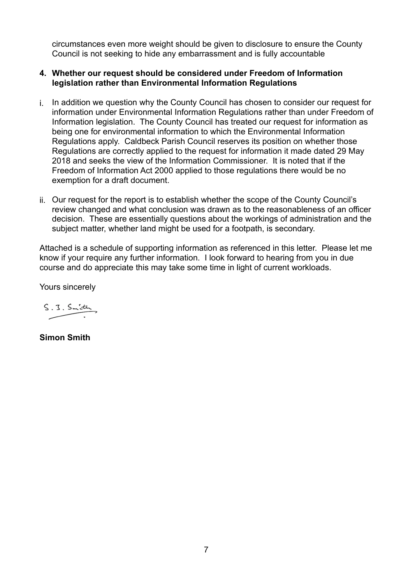circumstances even more weight should be given to disclosure to ensure the County Council is not seeking to hide any embarrassment and is fully accountable

### **4. Whether our request should be considered under Freedom of Information legislation rather than Environmental Information Regulations**

- i. In addition we question why the County Council has chosen to consider our request for information under Environmental Information Regulations rather than under Freedom of Information legislation. The County Council has treated our request for information as being one for environmental information to which the Environmental Information Regulations apply. Caldbeck Parish Council reserves its position on whether those Regulations are correctly applied to the request for information it made dated 29 May 2018 and seeks the view of the Information Commissioner. It is noted that if the Freedom of Information Act 2000 applied to those regulations there would be no exemption for a draft document.
- ii. Our request for the report is to establish whether the scope of the County Council's review changed and what conclusion was drawn as to the reasonableness of an officer decision. These are essentially questions about the workings of administration and the subject matter, whether land might be used for a footpath, is secondary.

Attached is a schedule of supporting information as referenced in this letter. Please let me know if your require any further information. I look forward to hearing from you in due course and do appreciate this may take some time in light of current workloads.

Yours sincerely

 $S.3.5$  mith

**Simon Smith**